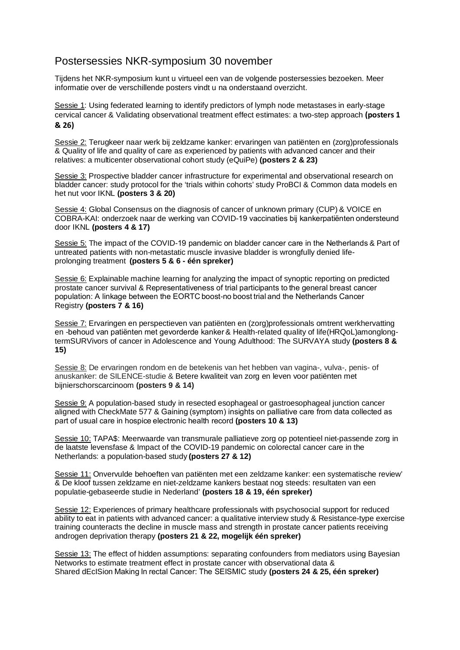## Postersessies NKR-symposium 30 november

Tijdens het NKR-symposium kunt u virtueel een van de volgende postersessies bezoeken. Meer informatie over de verschillende posters vindt u na onderstaand overzicht.

Sessie 1: Using federated learning to identify predictors of lymph node metastases in early-stage cervical cancer & Validating observational treatment effect estimates: a two-step approach **(posters 1 & 26)**

Sessie 2: Terugkeer naar werk bij zeldzame kanker: ervaringen van patiënten en (zorg)professionals & Quality of life and quality of care as experienced by patients with advanced cancer and their relatives: a multicenter observational cohort study (eQuiPe) **(posters 2 & 23)**

Sessie 3: Prospective bladder cancer infrastructure for experimental and observational research on bladder cancer: study protocol for the 'trials within cohorts' study ProBCI & Common data models en het nut voor IKNL **(posters 3 & 20)**

Sessie 4: Global Consensus on the diagnosis of cancer of unknown primary (CUP) & VOICE en COBRA-KAI: onderzoek naar de werking van COVID-19 vaccinaties bij kankerpatiënten ondersteund door IKNL **(posters 4 & 17)**

Sessie 5: The impact of the COVID-19 pandemic on bladder cancer care in the Netherlands & Part of untreated patients with non-metastatic muscle invasive bladder is wrongfully denied lifeprolonging treatment **(posters 5 & 6 - één spreker)**

Sessie 6: Explainable machine learning for analyzing the impact of synoptic reporting on predicted prostate cancer survival & Representativeness of trial participants to the general breast cancer population: A linkage between the EORTC boost-no boost trial and the Netherlands Cancer Registry **(posters 7 & 16)**

Sessie 7: Ervaringen en perspectieven van patiënten en (zorg)professionals omtrent werkhervatting en -behoud van patiënten met gevorderde kanker & Health-related quality of life(HRQoL)amonglongtermSURVivors of cancer in Adolescence and Young Adulthood: The SURVAYA study **(posters 8 & 15)**

Sessie 8: De ervaringen rondom en de betekenis van het hebben van vagina-, vulva-, penis- of anuskanker: de SILENCE-studie & Betere kwaliteit van zorg en leven voor patiënten met bijnierschorscarcinoom **(posters 9 & 14)**

Sessie 9: A population-based study in resected esophageal or gastroesophageal junction cancer aligned with CheckMate 577 & Gaining (symptom) insights on palliative care from data collected as part of usual care in hospice electronic health record **(posters 10 & 13)**

Sessie 10: TAPA\$: Meerwaarde van transmurale palliatieve zorg op potentieel niet-passende zorg in de laatste levensfase & Impact of the COVID-19 pandemic on colorectal cancer care in the Netherlands: a population-based study **(posters 27 & 12)**

Sessie 11: Onvervulde behoeften van patiënten met een zeldzame kanker: een systematische review' & De kloof tussen zeldzame en niet-zeldzame kankers bestaat nog steeds: resultaten van een populatie-gebaseerde studie in Nederland' **(posters 18 & 19, één spreker)**

Sessie 12: Experiences of primary healthcare professionals with psychosocial support for reduced ability to eat in patients with advanced cancer: a qualitative interview study & Resistance-type exercise training counteracts the decline in muscle mass and strength in prostate cancer patients receiving androgen deprivation therapy **(posters 21 & 22, mogelijk één spreker)**

Sessie 13: The effect of hidden assumptions: separating confounders from mediators using Bayesian Networks to estimate treatment effect in prostate cancer with observational data & Shared dEcISion Making In rectal Cancer: The SEISMIC study **(posters 24 & 25, één spreker)**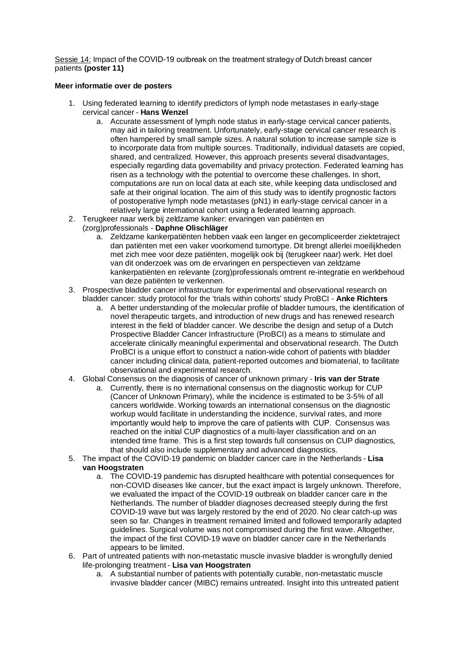Sessie 14: Impact of the COVID-19 outbreak on the treatment strategy of Dutch breast cancer patients **(poster 11)**

## **Meer informatie over de posters**

- 1. Using federated learning to identify predictors of lymph node metastases in early-stage cervical cancer - **Hans Wenzel**
	- a. Accurate assessment of lymph node status in early-stage cervical cancer patients, may aid in tailoring treatment. Unfortunately, early-stage cervical cancer research is often hampered by small sample sizes. A natural solution to increase sample size is to incorporate data from multiple sources. Traditionally, individual datasets are copied, shared, and centralized. However, this approach presents several disadvantages, especially regarding data governability and privacy protection. Federated learning has risen as a technology with the potential to overcome these challenges. In short, computations are run on local data at each site, while keeping data undisclosed and safe at their original location. The aim of this study was to identify prognostic factors of postoperative lymph node metastases (pN1) in early-stage cervical cancer in a relatively large international cohort using a federated learning approach.
- 2. Terugkeer naar werk bij zeldzame kanker: ervaringen van patiënten en

## (zorg)professionals - **Daphne Olischläger**

- a. Zeldzame kankerpatiënten hebben vaak een langer en gecompliceerder ziektetraject dan patiënten met een vaker voorkomend tumortype. Dit brengt allerlei moeilijkheden met zich mee voor deze patiënten, mogelijk ook bij (terugkeer naar) werk. Het doel van dit onderzoek was om de ervaringen en perspectieven van zeldzame kankerpatiënten en relevante (zorg)professionals omtrent re-integratie en werkbehoud van deze patiënten te verkennen.
- 3. Prospective bladder cancer infrastructure for experimental and observational research on bladder cancer: study protocol for the 'trials within cohorts' study ProBCI - **Anke Richters**
	- a. A better understanding of the molecular profile of bladder tumours, the identification of novel therapeutic targets, and introduction of new drugs and has renewed research interest in the field of bladder cancer. We describe the design and setup of a Dutch Prospective Bladder Cancer Infrastructure (ProBCI) as a means to stimulate and accelerate clinically meaningful experimental and observational research. The Dutch ProBCI is a unique effort to construct a nation-wide cohort of patients with bladder cancer including clinical data, patient-reported outcomes and biomaterial, to facilitate observational and experimental research.
- 4. Global Consensus on the diagnosis of cancer of unknown primary **Iris van der Strate**
	- a. Currently, there is no international consensus on the diagnostic workup for CUP (Cancer of Unknown Primary), while the incidence is estimated to be 3-5% of all cancers worldwide. Working towards an international consensus on the diagnostic workup would facilitate in understanding the incidence, survival rates, and more importantly would help to improve the care of patients with  CUP.  Consensus was reached on the initial CUP diagnostics of a multi-layer classification and on an intended time frame. This is a first step towards full consensus on CUP diagnostics, that should also include supplementary and advanced diagnostics.
- 5. The impact of the COVID-19 pandemic on bladder cancer care in the Netherlands **Lisa van Hoogstraten**
	- a. The COVID-19 pandemic has disrupted healthcare with potential consequences for non-COVID diseases like cancer, but the exact impact is largely unknown. Therefore, we evaluated the impact of the COVID-19 outbreak on bladder cancer care in the Netherlands. The number of bladder diagnoses decreased steeply during the first COVID-19 wave but was largely restored by the end of 2020. No clear catch-up was seen so far. Changes in treatment remained limited and followed temporarily adapted guidelines. Surgical volume was not compromised during the first wave. Altogether, the impact of the first COVID-19 wave on bladder cancer care in the Netherlands appears to be limited.
- 6. Part of untreated patients with non-metastatic muscle invasive bladder is wrongfully denied life-prolonging treatment - **Lisa van Hoogstraten**
	- a. A substantial number of patients with potentially curable, non-metastatic muscle invasive bladder cancer (MIBC) remains untreated. Insight into this untreated patient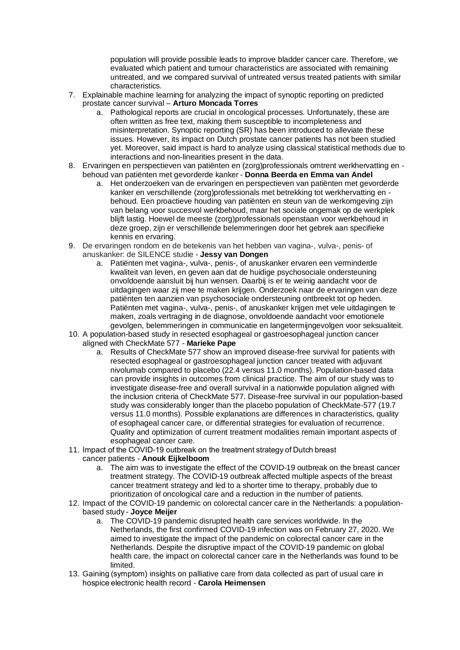population will provide possible leads to improve bladder cancer care. Therefore, we evaluated which patient and tumour characteristics are associated with remaining untreated, and we compared survival of untreated versus treated patients with similar characteristics.

- 7. Explainable machine learning for analyzing the impact of synoptic reporting on predicted prostate cancer survival – **Arturo Moncada Torres**
	- a. Pathological reports are crucial in oncological processes. Unfortunately, these are often written as free text, making them susceptible to incompleteness and misinterpretation. Synoptic reporting (SR) has been introduced to alleviate these issues. However, its impact on Dutch prostate cancer patients has not been studied yet. Moreover, said impact is hard to analyze using classical statistical methods due to interactions and non-linearities present in the data.
- 8. Ervaringen en perspectieven van patiënten en (zorg)professionals omtrent werkhervatting en behoud van patiënten met gevorderde kanker - **Donna Beerda en Emma van Andel**
	- a. Het onderzoeken van de ervaringen en perspectieven van patiënten met gevorderde kanker en verschillende (zorg)professionals met betrekking tot werkhervatting en behoud. Een proactieve houding van patiënten en steun van de werkomgeving zijn van belang voor succesvol werkbehoud, maar het sociale ongemak op de werkplek blijft lastig. Hoewel de meeste (zorg)professionals openstaan voor werkbehoud in deze groep, zijn er verschillende belemmeringen door het gebrek aan specifieke kennis en ervaring.
- 9. De ervaringen rondom en de betekenis van het hebben van vagina-, vulva-, penis- of anuskanker: de SILENCE studie - **Jessy van Dongen**
	- a. Patiënten met vagina-, vulva-, penis-, of anuskanker ervaren een verminderde kwaliteit van leven, en geven aan dat de huidige psychosociale ondersteuning onvoldoende aansluit bij hun wensen. Daarbij is er te weinig aandacht voor de uitdagingen waar zij mee te maken krijgen. Onderzoek naar de ervaringen van deze patiënten ten aanzien van psychosociale ondersteuning ontbreekt tot op heden. Patiënten met vagina-, vulva-, penis-, of anuskanker krijgen met vele uitdagingen te maken, zoals vertraging in de diagnose, onvoldoende aandacht voor emotionele gevolgen, belemmeringen in communicatie en langetermijngevolgen voor seksualiteit.
- 10. A population-based study in resected esophageal or gastroesophageal junction cancer aligned with CheckMate 577 - **Marieke Pape**
	- a. Results of CheckMate 577 show an improved disease-free survival for patients with resected esophageal or gastroesophageal junction cancer treated with adjuvant nivolumab compared to placebo (22.4 versus 11.0 months). Population-based data can provide insights in outcomes from clinical practice. The aim of our study was to investigate disease-free and overall survival in a nationwide population aligned with the inclusion criteria of CheckMate 577. Disease-free survival in our population-based study was considerably longer than the placebo population of CheckMate-577 (19.7 versus 11.0 months). Possible explanations are differences in characteristics, quality of esophageal cancer care, or differential strategies for evaluation of recurrence. Quality and optimization of current treatment modalities remain important aspects of esophageal cancer care.
- 11. Impact of the COVID-19 outbreak on the treatment strategy of Dutch breast
	- cancer patients **Anouk Eijkelboom**
		- a. The aim was to investigate the effect of the COVID-19 outbreak on the breast cancer treatment strategy. The COVID-19 outbreak affected multiple aspects of the breast cancer treatment strategy and led to a shorter time to therapy, probably due to prioritization of oncological care and a reduction in the number of patients.
- 12. Impact of the COVID-19 pandemic on colorectal cancer care in the Netherlands: a populationbased study - **Joyce Meijer**
	- a. The COVID-19 pandemic disrupted health care services worldwide. In the Netherlands, the first confirmed COVID-19 infection was on February 27, 2020. We aimed to investigate the impact of the pandemic on colorectal cancer care in the Netherlands. Despite the disruptive impact of the COVID-19 pandemic on global health care, the impact on colorectal cancer care in the Netherlands was found to be limited.
- 13. Gaining (symptom) insights on palliative care from data collected as part of usual care in hospice electronic health record - **Carola Heimensen**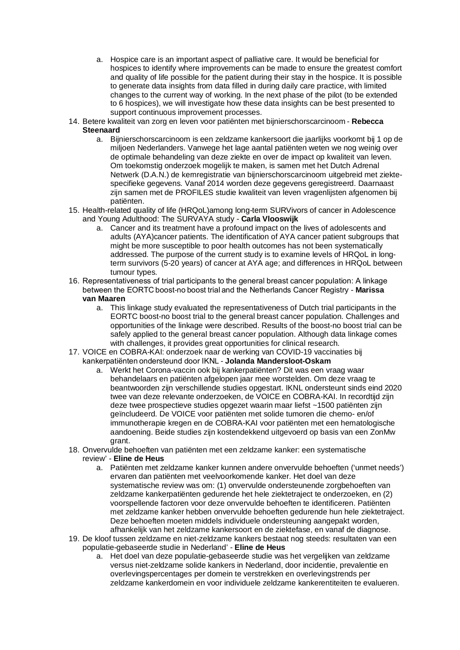- a. Hospice care is an important aspect of palliative care. It would be beneficial for hospices to identify where improvements can be made to ensure the greatest comfort and quality of life possible for the patient during their stay in the hospice. It is possible to generate data insights from data filled in during daily care practice, with limited changes to the current way of working. In the next phase of the pilot (to be extended to 6 hospices), we will investigate how these data insights can be best presented to support continuous improvement processes.
- 14. Betere kwaliteit van zorg en leven voor patiënten met bijnierschorscarcinoom **Rebecca Steenaard**
	- a. Bijnierschorscarcinoom is een zeldzame kankersoort die jaarlijks voorkomt bij 1 op de miljoen Nederlanders. Vanwege het lage aantal patiënten weten we nog weinig over de optimale behandeling van deze ziekte en over de impact op kwaliteit van leven. Om toekomstig onderzoek mogelijk te maken, is samen met het Dutch Adrenal Netwerk (D.A.N.) de kernregistratie van bijnierschorscarcinoom uitgebreid met ziektespecifieke gegevens. Vanaf 2014 worden deze gegevens geregistreerd. Daarnaast zijn samen met de PROFILES studie kwaliteit van leven vragenlijsten afgenomen bij patiënten.
- 15. Health-related quality of life (HRQoL)among long-term SURVivors of cancer in Adolescence and Young Adulthood: The SURVAYA study - **Carla Vlooswijk**
	- a. Cancer and its treatment have a profound impact on the lives of adolescents and adults (AYA)cancer patients. The identification of AYA cancer patient subgroups that might be more susceptible to poor health outcomes has not been systematically addressed. The purpose of the current study is to examine levels of HRQoL in longterm survivors (5-20 years) of cancer at AYA age; and differences in HRQoL between tumour types.
- 16. Representativeness of trial participants to the general breast cancer population: A linkage between the EORTC boost-no boost trial and the Netherlands Cancer Registry - **Marissa van Maaren**
	- a. This linkage study evaluated the representativeness of Dutch trial participants in the EORTC boost-no boost trial to the general breast cancer population. Challenges and opportunities of the linkage were described. Results of the boost-no boost trial can be safely applied to the general breast cancer population. Although data linkage comes with challenges, it provides great opportunities for clinical research.
- 17. VOICE en COBRA-KAI: onderzoek naar de werking van COVID-19 vaccinaties bij kankerpatiënten ondersteund door IKNL - **Jolanda Mandersloot-Oskam**
	- a. Werkt het Corona-vaccin ook bij kankerpatiënten? Dit was een vraag waar behandelaars en patiënten afgelopen jaar mee worstelden. Om deze vraag te beantwoorden zijn verschillende studies opgestart. IKNL ondersteunt sinds eind 2020 twee van deze relevante onderzoeken, de VOICE en COBRA-KAI. In recordtijd zijn deze twee prospectieve studies opgezet waarin maar liefst ~1500 patiënten zijn geïncludeerd. De VOICE voor patiënten met solide tumoren die chemo- en/of immunotherapie kregen en de COBRA-KAI voor patiënten met een hematologische aandoening. Beide studies zijn kostendekkend uitgevoerd op basis van een ZonMw grant.
- 18. Onvervulde behoeften van patiënten met een zeldzame kanker: een systematische
	- review' **Eline de Heus**
		- a. Patiënten met zeldzame kanker kunnen andere onvervulde behoeften ('unmet needs') ervaren dan patiënten met veelvoorkomende kanker. Het doel van deze systematische review was om: (1) onvervulde ondersteunende zorgbehoeften van zeldzame kankerpatiënten gedurende het hele ziektetraject te onderzoeken, en (2) voorspellende factoren voor deze onvervulde behoeften te identificeren. Patiënten met zeldzame kanker hebben onvervulde behoeften gedurende hun hele ziektetraject. Deze behoeften moeten middels individuele ondersteuning aangepakt worden, afhankelijk van het zeldzame kankersoort en de ziektefase, en vanaf de diagnose.
- 19. De kloof tussen zeldzame en niet-zeldzame kankers bestaat nog steeds: resultaten van een populatie-gebaseerde studie in Nederland' - **Eline de Heus**
	- a. Het doel van deze populatie-gebaseerde studie was het vergelijken van zeldzame versus niet-zeldzame solide kankers in Nederland, door incidentie, prevalentie en overlevingspercentages per domein te verstrekken en overlevingstrends per zeldzame kankerdomein en voor individuele zeldzame kankerentiteiten te evalueren.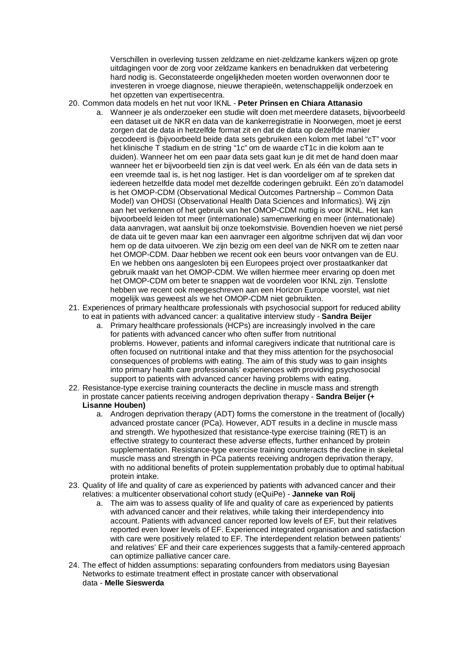Verschillen in overleving tussen zeldzame en niet-zeldzame kankers wijzen op grote uitdagingen voor de zorg voor zeldzame kankers en benadrukken dat verbetering hard nodig is. Geconstateerde ongelijkheden moeten worden overwonnen door te investeren in vroege diagnose, nieuwe therapieën, wetenschappelijk onderzoek en het opzetten van expertisecentra.

## 20. Common data models en het nut voor IKNL - **Peter Prinsen en Chiara Attanasio**

- a. Wanneer je als onderzoeker een studie wilt doen met meerdere datasets, bijvoorbeeld een dataset uit de NKR en data van de kankerregistratie in Noorwegen, moet je eerst zorgen dat de data in hetzelfde format zit en dat de data op dezelfde manier gecodeerd is (bijvoorbeeld beide data sets gebruiken een kolom met label "cT" voor het klinische T stadium en de string "1c" om de waarde cT1c in die kolom aan te duiden). Wanneer het om een paar data sets gaat kun je dit met de hand doen maar wanneer het er bijvoorbeeld tien zijn is dat veel werk. En als één van de data sets in een vreemde taal is, is het nog lastiger. Het is dan voordeliger om af te spreken dat iedereen hetzelfde data model met dezelfde coderingen gebruikt. Eén zo'n datamodel is het OMOP-CDM (Observational Medical Outcomes Partnership – Common Data Model) van OHDSI (Observational Health Data Sciences and Informatics). Wij zijn aan het verkennen of het gebruik van het OMOP-CDM nuttig is voor IKNL. Het kan bijvoorbeeld leiden tot meer (internationale) samenwerking en meer (internationale) data aanvragen, wat aansluit bij onze toekomstvisie. Bovendien hoeven we niet persé de data uit te geven maar kan een aanvrager een algoritme schrijven dat wij dan voor hem op de data uitvoeren. We zijn bezig om een deel van de NKR om te zetten naar het OMOP-CDM. Daar hebben we recent ook een beurs voor ontvangen van de EU. En we hebben ons aangesloten bij een Europees project over prostaatkanker dat gebruik maakt van het OMOP-CDM. We willen hiermee meer ervaring op doen met het OMOP-CDM om beter te snappen wat de voordelen voor IKNL zijn. Tenslotte hebben we recent ook meegeschreven aan een Horizon Europe voorstel, wat niet mogelijk was geweest als we het OMOP-CDM niet gebruikten.
- 21. Experiences of primary healthcare professionals with psychosocial support for reduced ability to eat in patients with advanced cancer: a qualitative interview study - **Sandra Beijer**
	- a. Primary healthcare professionals (HCPs) are increasingly involved in the care for patients with advanced cancer who often suffer from nutritional problems. However, patients and informal caregivers indicate that nutritional care is often focused on nutritional intake and that they miss attention for the psychosocial consequences of problems with eating. The aim of this study was to gain insights into primary health care professionals' experiences with providing psychosocial support to patients with advanced cancer having problems with eating.
- 22. Resistance-type exercise training counteracts the decline in muscle mass and strength in prostate cancer patients receiving androgen deprivation therapy - **Sandra Beijer (+ Lisanne Houben)**
	- a. Androgen deprivation therapy (ADT) forms the cornerstone in the treatment of (locally) advanced prostate cancer (PCa). However, ADT results in a decline in muscle mass and strength. We hypothesized that resistance-type exercise training (RET) is an effective strategy to counteract these adverse effects, further enhanced by protein supplementation. Resistance-type exercise training counteracts the decline in skeletal muscle mass and strength in PCa patients receiving androgen deprivation therapy, with no additional benefits of protein supplementation probably due to optimal habitual protein intake.
- 23. Quality of life and quality of care as experienced by patients with advanced cancer and their relatives: a multicenter observational cohort study (eQuiPe) - **Janneke van Roij**
	- a. The aim was to assess quality of life and quality of care as experienced by patients with advanced cancer and their relatives, while taking their interdependency into account. Patients with advanced cancer reported low levels of EF, but their relatives reported even lower levels of EF. Experienced integrated organisation and satisfaction with care were positively related to EF. The interdependent relation between patients' and relatives' EF and their care experiences suggests that a family-centered approach can optimize palliative cancer care.
- 24. The effect of hidden assumptions: separating confounders from mediators using Bayesian Networks to estimate treatment effect in prostate cancer with observational data - **Melle Sieswerda**